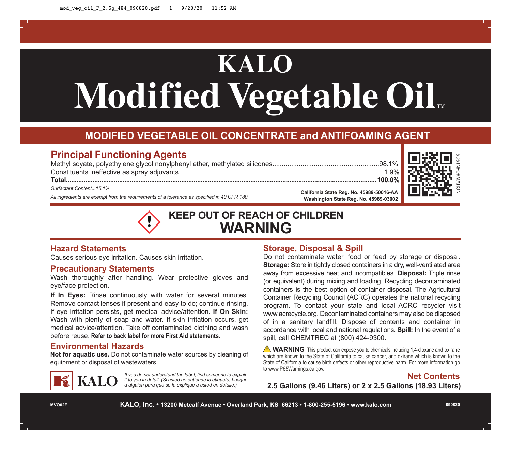# **Modified Vegetable Oil**™ **KALO**

### **MODIFIED VEGETABLE OIL CONCENTRATE and ANTIFOAMING AGENT**

#### **Principal Functioning Agents**

Methyl soyate, polyethylene glycol nonylphenyl ether, methylated silicones.........................................................98.1% Constituents ineffective as spray adjuvants............................................................................................................. 1.9% **Total...............................................................................................................................................................................100.0%**

*Surfactant Content...15.1%*

*All ingredients are exempt from the requirements of a tolerance as specified in 40 CFR 180.*

**California State Reg. No. 45989-50016-AA Washington State Reg. No. 45989-03002**



## **KEEP OUT OF REACH OF CHILDREN WARNING**

#### **Hazard Statements**

Causes serious eye irritation. Causes skin irritation.

#### **Precautionary Statements**

Wash thoroughly after handling. Wear protective gloves and eye/face protection.

**If In Eyes:** Rinse continuously with water for several minutes. Remove contact lenses if present and easy to do; continue rinsing. If eye irritation persists, get medical advice/attention. **If On Skin:** Wash with plenty of soap and water. If skin irritation occurs, get medical advice/attention. Take off contaminated clothing and wash before reuse. **Refer to back label for more First Aid statements.**

#### **Environmental Hazards**

**Not for aquatic use.** Do not contaminate water sources by cleaning of equipment or disposal of wastewaters.



*If you do not understand the label, find someone to explain*   $\mathbf{ALO}$  if you wind direction to entien the relation of the substitution of a etiqueta, busque and  $\mathbf{ALO}$  is a alguign para que se la explique a ustant en details  $\mathbf{A}$ *a alguien para que se la explique a usted en detalle.)*

#### **Storage, Disposal & Spill**

Do not contaminate water, food or feed by storage or disposal. **Storage:** Store in tightly closed containers in a dry, well-ventilated area away from excessive heat and incompatibles. **Disposal:** Triple rinse (or equivalent) during mixing and loading. Recycling decontaminated containers is the best option of container disposal. The Agricultural Container Recycling Council (ACRC) operates the national recycling program. To contact your state and local ACRC recycler visit www.acrecycle.org. Decontaminated containers may also be disposed of in a sanitary landfill. Dispose of contents and container in accordance with local and national regulations. **Spill:** In the event of a spill, call CHEMTREC at (800) 424-9300.

**WARNING** This product can expose you to chemicals including 1,4-dioxane and oxirane which are known to the State of California to cause cancer, and oxirane which is known to the State of California to cause birth defects or other reproductive harm. For more information go to www.P65Warnings.ca.gov.

#### **Net Contents**

**2.5 Gallons (9.46 Liters) or 2 x 2.5 Gallons (18.93 Liters)**

**MVO02F**

**KALO, Inc. • 13200 Metcalf Avenue • Overland Park, KS 66213 • 1-800-255-5196 • www.kalo.com**